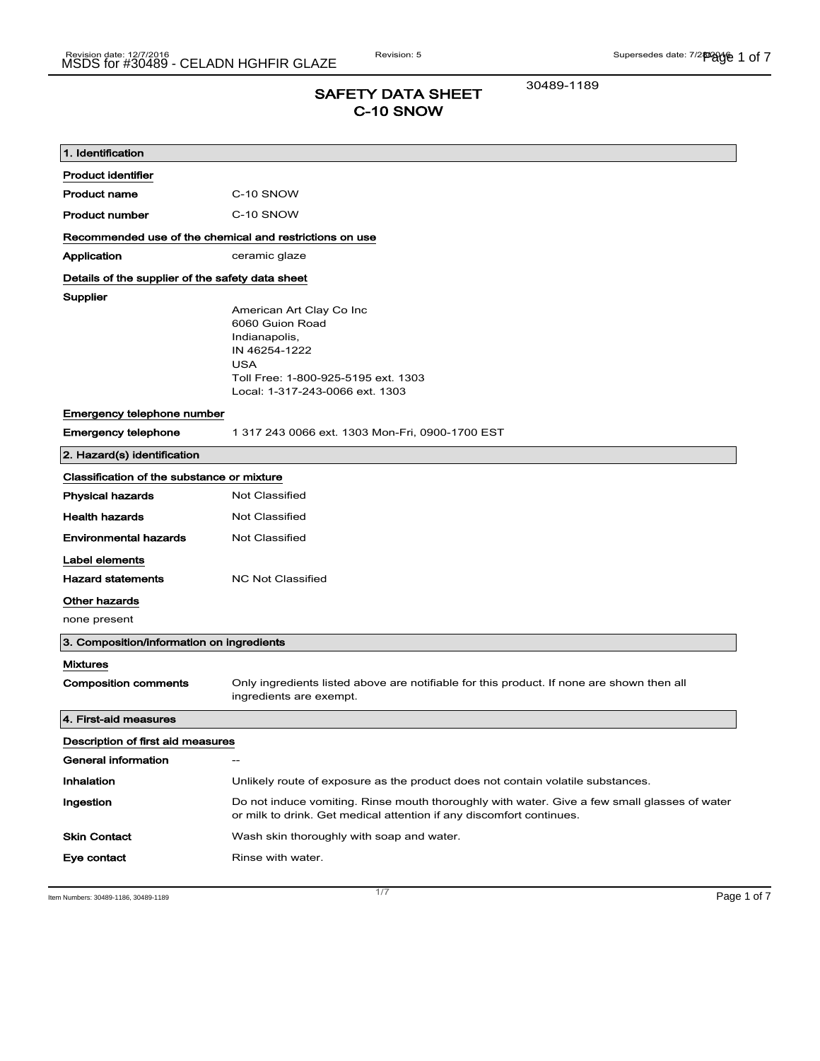# SAFETY DATA SHEET C-10 SNOW

30489-1189

| 1. Identification                                       |                                                                                                                                                                       |
|---------------------------------------------------------|-----------------------------------------------------------------------------------------------------------------------------------------------------------------------|
| <b>Product identifier</b>                               |                                                                                                                                                                       |
| <b>Product name</b>                                     | C-10 SNOW                                                                                                                                                             |
| <b>Product number</b>                                   | C-10 SNOW                                                                                                                                                             |
| Recommended use of the chemical and restrictions on use |                                                                                                                                                                       |
| Application                                             | ceramic glaze                                                                                                                                                         |
| Details of the supplier of the safety data sheet        |                                                                                                                                                                       |
| Supplier                                                | American Art Clay Co Inc<br>6060 Guion Road<br>Indianapolis,<br>IN 46254-1222<br><b>USA</b><br>Toll Free: 1-800-925-5195 ext. 1303<br>Local: 1-317-243-0066 ext. 1303 |
| Emergency telephone number                              |                                                                                                                                                                       |
| <b>Emergency telephone</b>                              | 1 317 243 0066 ext. 1303 Mon-Fri, 0900-1700 EST                                                                                                                       |
| 2. Hazard(s) identification                             |                                                                                                                                                                       |
| Classification of the substance or mixture              |                                                                                                                                                                       |
| <b>Physical hazards</b>                                 | <b>Not Classified</b>                                                                                                                                                 |
| <b>Health hazards</b>                                   | Not Classified                                                                                                                                                        |
| <b>Environmental hazards</b>                            | Not Classified                                                                                                                                                        |
| Label elements                                          |                                                                                                                                                                       |
| <b>Hazard statements</b>                                | <b>NC Not Classified</b>                                                                                                                                              |
| Other hazards                                           |                                                                                                                                                                       |
| none present                                            |                                                                                                                                                                       |
| 3. Composition/information on ingredients               |                                                                                                                                                                       |
| <b>Mixtures</b><br><b>Composition comments</b>          | Only ingredients listed above are notifiable for this product. If none are shown then all<br>ingredients are exempt.                                                  |
| 4. First-aid measures                                   |                                                                                                                                                                       |
| Description of first aid measures                       |                                                                                                                                                                       |
| General information                                     |                                                                                                                                                                       |
| Inhalation                                              | Unlikely route of exposure as the product does not contain volatile substances.                                                                                       |
| Ingestion                                               | Do not induce vomiting. Rinse mouth thoroughly with water. Give a few small glasses of water<br>or milk to drink. Get medical attention if any discomfort continues.  |
| <b>Skin Contact</b>                                     | Wash skin thoroughly with soap and water.                                                                                                                             |
| Eye contact                                             | Rinse with water.                                                                                                                                                     |

Item Numbers: 30489-1186, 30489-1189 Page 1 of 7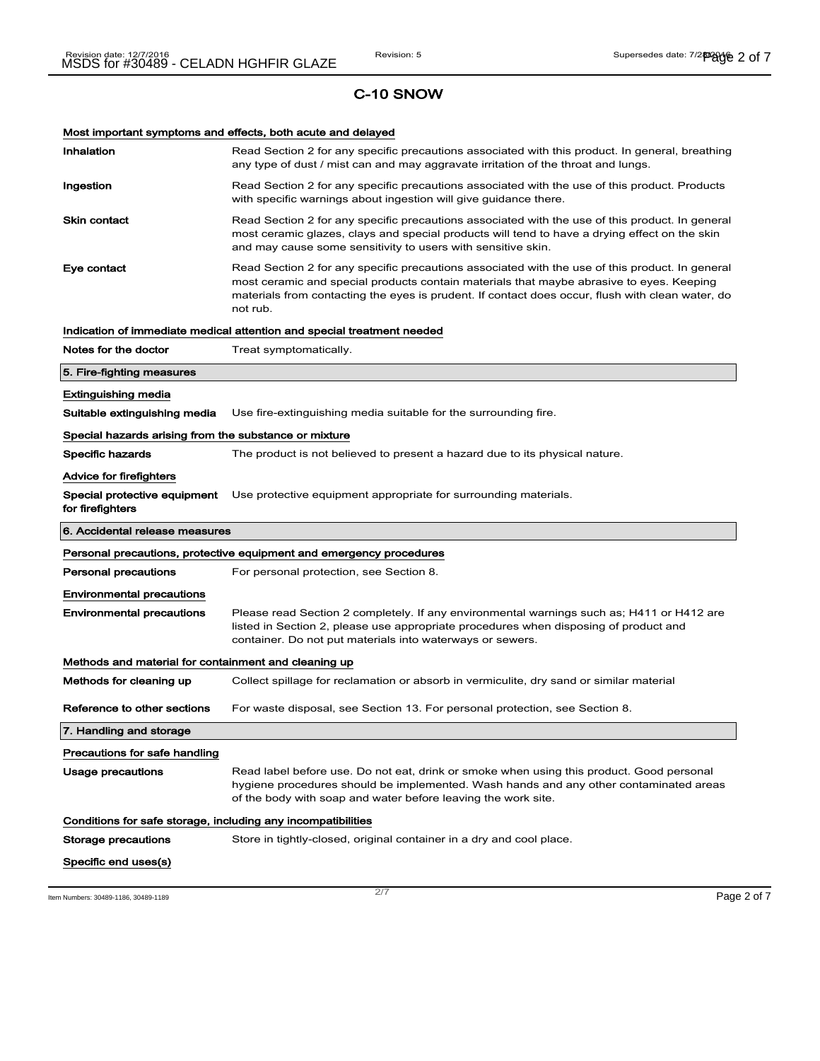Most important symptoms and effects, both acute and delayed

| Inhalation                                                   | Read Section 2 for any specific precautions associated with this product. In general, breathing<br>any type of dust / mist can and may aggravate irritation of the throat and lungs.                                                                                                                        |
|--------------------------------------------------------------|-------------------------------------------------------------------------------------------------------------------------------------------------------------------------------------------------------------------------------------------------------------------------------------------------------------|
| Ingestion                                                    | Read Section 2 for any specific precautions associated with the use of this product. Products<br>with specific warnings about ingestion will give guidance there.                                                                                                                                           |
| <b>Skin contact</b>                                          | Read Section 2 for any specific precautions associated with the use of this product. In general<br>most ceramic glazes, clays and special products will tend to have a drying effect on the skin<br>and may cause some sensitivity to users with sensitive skin.                                            |
| Eye contact                                                  | Read Section 2 for any specific precautions associated with the use of this product. In general<br>most ceramic and special products contain materials that maybe abrasive to eyes. Keeping<br>materials from contacting the eyes is prudent. If contact does occur, flush with clean water, do<br>not rub. |
|                                                              | Indication of immediate medical attention and special treatment needed                                                                                                                                                                                                                                      |
| Notes for the doctor                                         | Treat symptomatically.                                                                                                                                                                                                                                                                                      |
| 5. Fire-fighting measures                                    |                                                                                                                                                                                                                                                                                                             |
| <b>Extinguishing media</b>                                   |                                                                                                                                                                                                                                                                                                             |
| Suitable extinguishing media                                 | Use fire-extinguishing media suitable for the surrounding fire.                                                                                                                                                                                                                                             |
| Special hazards arising from the substance or mixture        |                                                                                                                                                                                                                                                                                                             |
| <b>Specific hazards</b>                                      | The product is not believed to present a hazard due to its physical nature.                                                                                                                                                                                                                                 |
| Advice for firefighters                                      |                                                                                                                                                                                                                                                                                                             |
| Special protective equipment<br>for firefighters             | Use protective equipment appropriate for surrounding materials.                                                                                                                                                                                                                                             |
|                                                              |                                                                                                                                                                                                                                                                                                             |
| 6. Accidental release measures                               |                                                                                                                                                                                                                                                                                                             |
|                                                              | Personal precautions, protective equipment and emergency procedures                                                                                                                                                                                                                                         |
| <b>Personal precautions</b>                                  | For personal protection, see Section 8.                                                                                                                                                                                                                                                                     |
| <b>Environmental precautions</b>                             |                                                                                                                                                                                                                                                                                                             |
| <b>Environmental precautions</b>                             | Please read Section 2 completely. If any environmental warnings such as; H411 or H412 are<br>listed in Section 2, please use appropriate procedures when disposing of product and<br>container. Do not put materials into waterways or sewers.                                                              |
| Methods and material for containment and cleaning up         |                                                                                                                                                                                                                                                                                                             |
| Methods for cleaning up                                      | Collect spillage for reclamation or absorb in vermiculite, dry sand or similar material                                                                                                                                                                                                                     |
| Reference to other sections                                  | For waste disposal, see Section 13. For personal protection, see Section 8.                                                                                                                                                                                                                                 |
| 7. Handling and storage                                      |                                                                                                                                                                                                                                                                                                             |
| Precautions for safe handling                                |                                                                                                                                                                                                                                                                                                             |
| Usage precautions                                            | Read label before use. Do not eat, drink or smoke when using this product. Good personal<br>hygiene procedures should be implemented. Wash hands and any other contaminated areas<br>of the body with soap and water before leaving the work site.                                                          |
| Conditions for safe storage, including any incompatibilities |                                                                                                                                                                                                                                                                                                             |
| Storage precautions                                          | Store in tightly-closed, original container in a dry and cool place.                                                                                                                                                                                                                                        |

Item Numbers: 30489-1186, 30489-1189  $\overline{2/7}$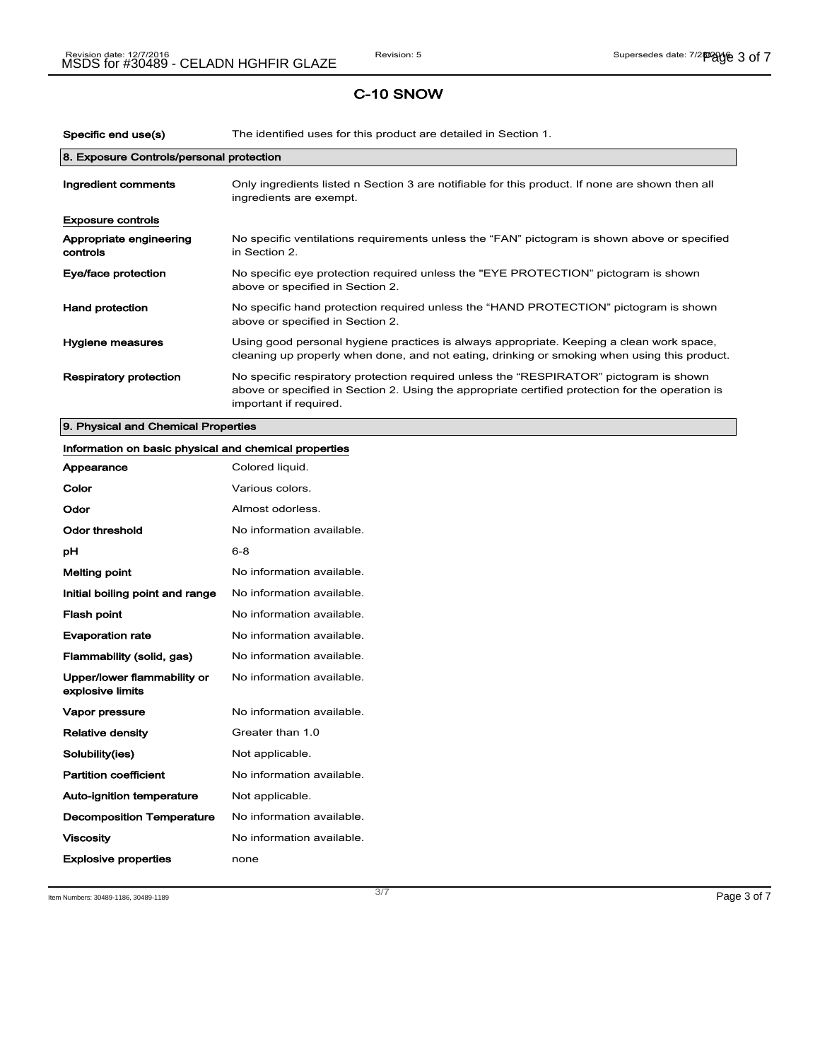| Specific end use(s)                      | The identified uses for this product are detailed in Section 1.                                                                                                                                                      |
|------------------------------------------|----------------------------------------------------------------------------------------------------------------------------------------------------------------------------------------------------------------------|
| 8. Exposure Controls/personal protection |                                                                                                                                                                                                                      |
| Ingredient comments                      | Only ingredients listed n Section 3 are notifiable for this product. If none are shown then all<br>ingredients are exempt.                                                                                           |
| <b>Exposure controls</b>                 |                                                                                                                                                                                                                      |
| Appropriate engineering<br>controls      | No specific ventilations requirements unless the "FAN" pictogram is shown above or specified<br>in Section 2.                                                                                                        |
| Eye/face protection                      | No specific eye protection required unless the "EYE PROTECTION" pictogram is shown<br>above or specified in Section 2.                                                                                               |
| <b>Hand protection</b>                   | No specific hand protection required unless the "HAND PROTECTION" pictogram is shown<br>above or specified in Section 2.                                                                                             |
| Hygiene measures                         | Using good personal hygiene practices is always appropriate. Keeping a clean work space,<br>cleaning up properly when done, and not eating, drinking or smoking when using this product.                             |
| Respiratory protection                   | No specific respiratory protection required unless the "RESPIRATOR" pictogram is shown<br>above or specified in Section 2. Using the appropriate certified protection for the operation is<br>important if required. |

# 9. Physical and Chemical Properties

# Information on basic physical and chemical properties Appearance Colored liquid. Color **Color** Various colors. Odor Almost odorless

| AIIIUSLUUUIIESS.          |
|---------------------------|
| No information available. |
| $6 - 8$                   |
| No information available. |
| No information available. |
| No information available. |
| No information available. |
| No information available. |
| No information available. |
| No information available. |
| Greater than 1.0          |
| Not applicable.           |
| No information available. |
| Not applicable.           |
| No information available. |
| No information available. |
| none                      |
|                           |

Item Numbers: 30489-1186, 30489-1189 Page 3 of 7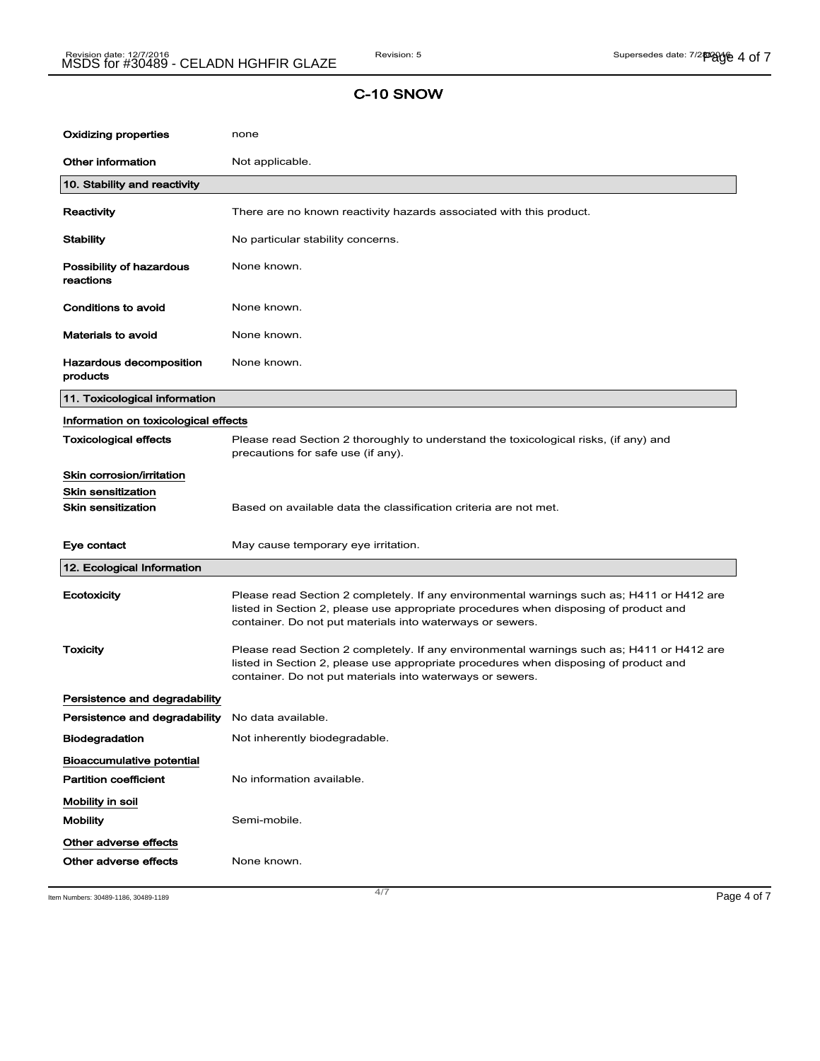| Oxidizing properties                             | none                                                                                                                                                                                                                                           |
|--------------------------------------------------|------------------------------------------------------------------------------------------------------------------------------------------------------------------------------------------------------------------------------------------------|
| <b>Other information</b>                         | Not applicable.                                                                                                                                                                                                                                |
| 10. Stability and reactivity                     |                                                                                                                                                                                                                                                |
| Reactivity                                       | There are no known reactivity hazards associated with this product.                                                                                                                                                                            |
| Stability                                        | No particular stability concerns.                                                                                                                                                                                                              |
| Possibility of hazardous<br>reactions            | None known.                                                                                                                                                                                                                                    |
| Conditions to avoid                              | None known.                                                                                                                                                                                                                                    |
| <b>Materials to avoid</b>                        | None known.                                                                                                                                                                                                                                    |
| Hazardous decomposition<br>products              | None known.                                                                                                                                                                                                                                    |
| 11. Toxicological information                    |                                                                                                                                                                                                                                                |
| Information on toxicological effects             |                                                                                                                                                                                                                                                |
| Toxicological effects                            | Please read Section 2 thoroughly to understand the toxicological risks, (if any) and<br>precautions for safe use (if any).                                                                                                                     |
| Skin corrosion/irritation                        |                                                                                                                                                                                                                                                |
| Skin sensitization                               |                                                                                                                                                                                                                                                |
| <b>Skin sensitization</b>                        | Based on available data the classification criteria are not met.                                                                                                                                                                               |
| Eye contact                                      | May cause temporary eye irritation.                                                                                                                                                                                                            |
| 12. Ecological Information                       |                                                                                                                                                                                                                                                |
| Ecotoxicity                                      | Please read Section 2 completely. If any environmental warnings such as; H411 or H412 are<br>listed in Section 2, please use appropriate procedures when disposing of product and<br>container. Do not put materials into waterways or sewers. |
| Toxicity                                         | Please read Section 2 completely. If any environmental warnings such as; H411 or H412 are<br>listed in Section 2, please use appropriate procedures when disposing of product and<br>container. Do not put materials into waterways or sewers. |
| Persistence and degradability                    |                                                                                                                                                                                                                                                |
| Persistence and degradability No data available. |                                                                                                                                                                                                                                                |
| <b>Biodegradation</b>                            | Not inherently biodegradable.                                                                                                                                                                                                                  |
| Bioaccumulative potential                        |                                                                                                                                                                                                                                                |
| <b>Partition coefficient</b>                     | No information available.                                                                                                                                                                                                                      |
| Mobility in soil                                 |                                                                                                                                                                                                                                                |
| <b>Mobility</b>                                  | Semi-mobile.                                                                                                                                                                                                                                   |
| Other adverse effects<br>Other adverse effects   | None known.                                                                                                                                                                                                                                    |

Item Numbers: 30489-1186, 30489-1189 Page 4 of 7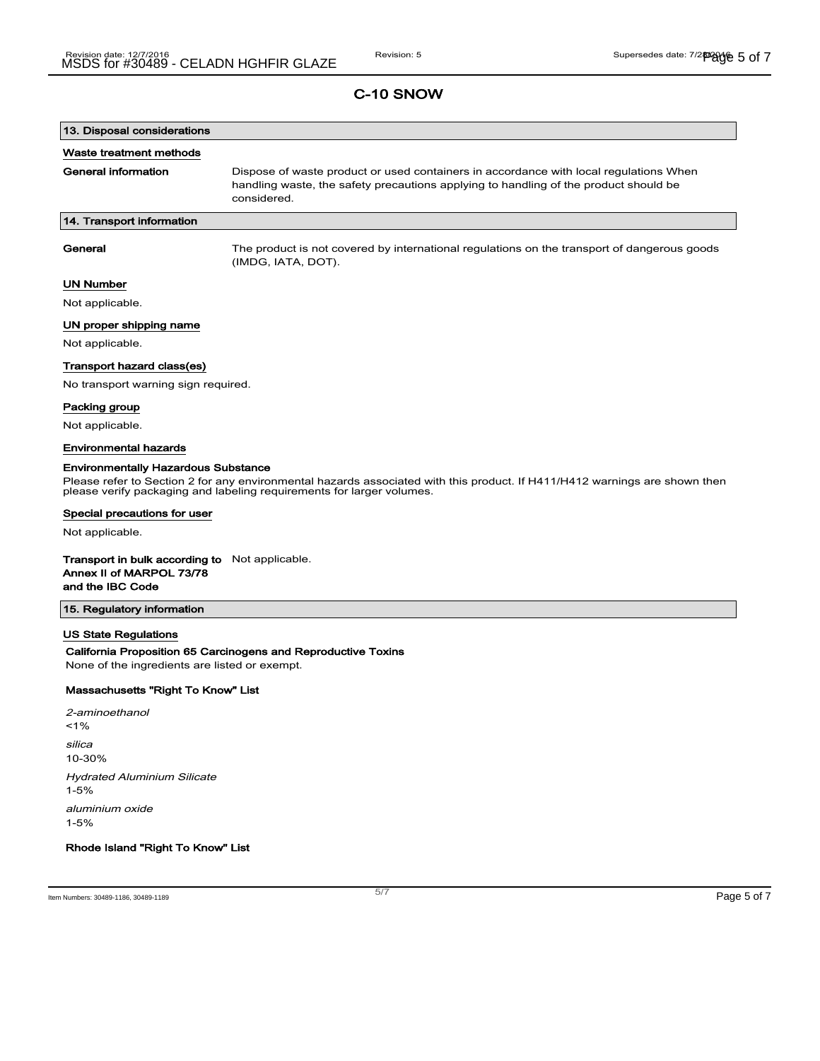# 13. Disposal considerations

#### Waste treatment methods

General information **Dispose of waste product or used containers in accordance with local regulations When** handling waste, the safety precautions applying to handling of the product should be considered.

### 14. Transport information

General The product is not covered by international regulations on the transport of dangerous goods (IMDG, IATA, DOT).

## UN Number

Not applicable.

## UN proper shipping name

Not applicable.

#### Transport hazard class(es)

No transport warning sign required.

#### Packing group

Not applicable.

### Environmental hazards

#### Environmentally Hazardous Substance

Please refer to Section 2 for any environmental hazards associated with this product. If H411/H412 warnings are shown then please verify packaging and labeling requirements for larger volumes.

#### Special precautions for user

Not applicable.

#### Transport in bulk according to Not applicable. Annex II of MARPOL 73/78

# and the IBC Code

### 15. Regulatory information

### US State Regulations

#### California Proposition 65 Carcinogens and Reproductive Toxins

None of the ingredients are listed or exempt.

## Massachusetts "Right To Know" List

2-aminoethanol  $1%$ silica 10-30% Hydrated Aluminium Silicate 1-5% aluminium oxide 1-5%

Rhode Island "Right To Know" List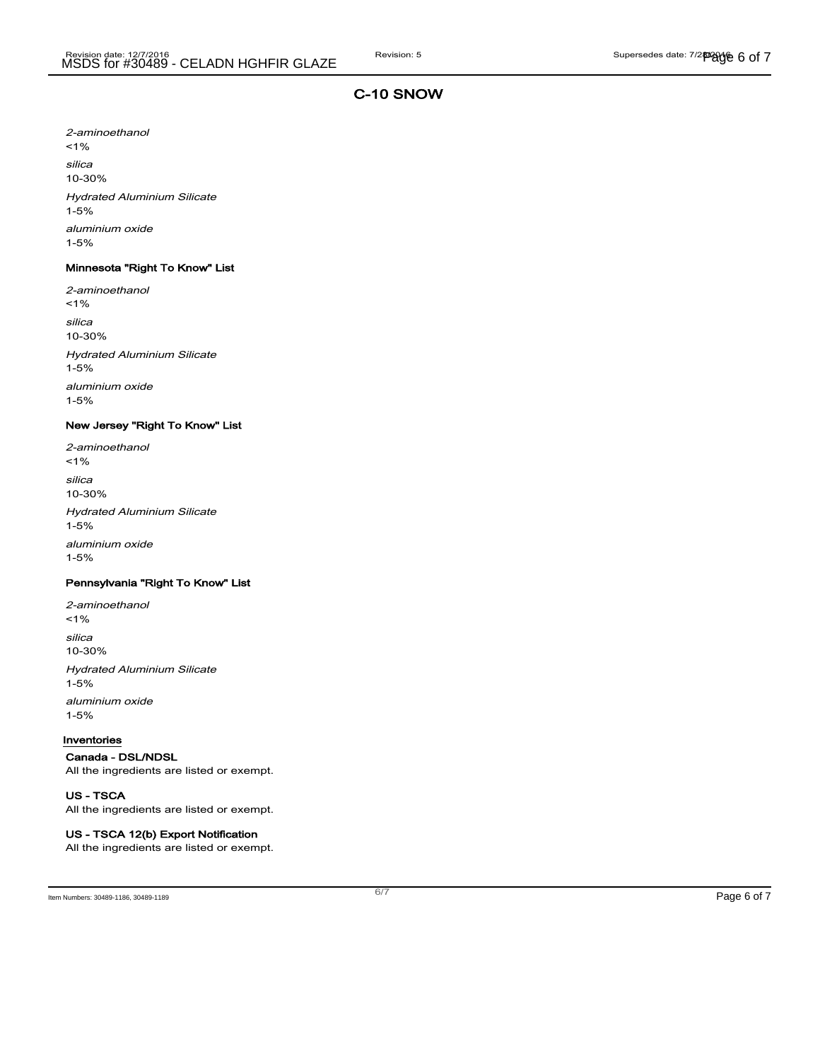2-aminoethanol  $1%$ silica 10-30% Hydrated Aluminium Silicate 1-5% aluminium oxide 1-5%

## Minnesota "Right To Know" List

2-aminoethanol  $1%$ silica 10-30% Hydrated Aluminium Silicate 1-5% aluminium oxide 1-5%

## New Jersey "Right To Know" List

2-aminoethanol  $1%$ silica 10-30% Hydrated Aluminium Silicate 1-5% aluminium oxide 1-5%

## Pennsylvania "Right To Know" List

2-aminoethanol <1% silica 10-30% Hydrated Aluminium Silicate 1-5% aluminium oxide 1-5%

#### Inventories

#### Canada - DSL/NDSL

All the ingredients are listed or exempt.

#### US - TSCA

All the ingredients are listed or exempt.

## US - TSCA 12(b) Export Notification

All the ingredients are listed or exempt.